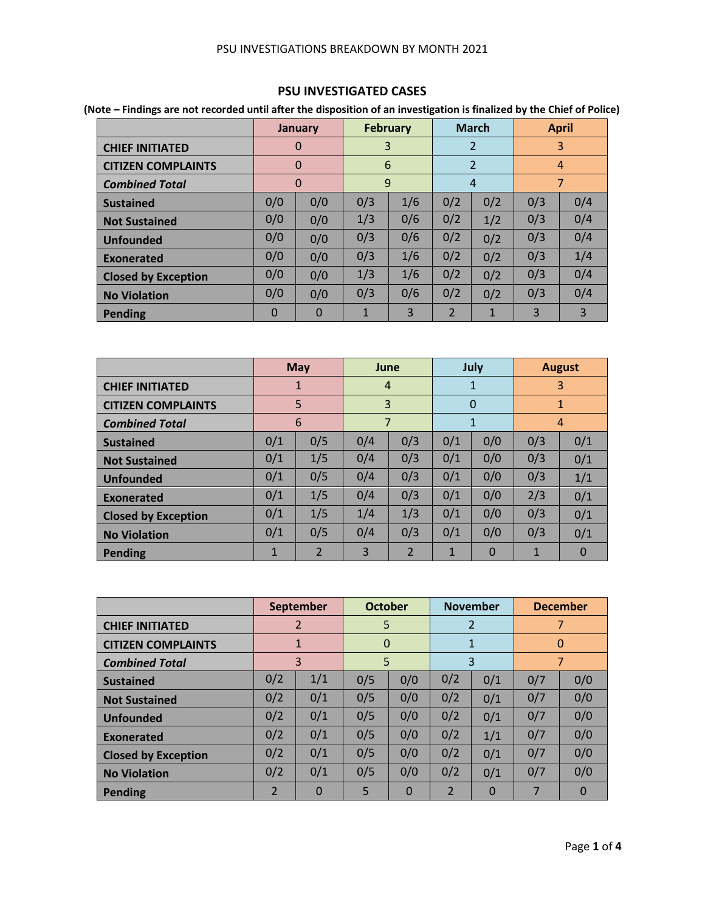#### PSU INVESTIGATIONS BREAKDOWN BY MONTH 2021

### **PSU INVESTIGATED CASES**

**(Note – Findings are not recorded until after the disposition of an investigation is finalized by the Chief of Police)**

|                            |     | <b>January</b> |     | <b>February</b> |                | <b>March</b>   |     | <b>April</b>   |
|----------------------------|-----|----------------|-----|-----------------|----------------|----------------|-----|----------------|
| <b>CHIEF INITIATED</b>     |     | $\mathbf 0$    | 3   |                 |                | $\overline{2}$ |     | 3              |
| <b>CITIZEN COMPLAINTS</b>  |     | $\Omega$       | 6   |                 |                | 2              |     | $\overline{4}$ |
| <b>Combined Total</b>      |     | $\overline{0}$ |     | 9               |                | $\overline{4}$ |     | $\overline{7}$ |
| <b>Sustained</b>           | 0/0 | 0/0            | 0/3 | 1/6             | 0/2            | 0/2            | 0/3 | 0/4            |
| <b>Not Sustained</b>       | 0/0 | 0/0            | 1/3 | 0/6             | 0/2            | 1/2            | 0/3 | 0/4            |
| <b>Unfounded</b>           | 0/0 | 0/0            | 0/3 | 0/6             | 0/2            | 0/2            | 0/3 | 0/4            |
| Exonerated                 | 0/0 | 0/0            | 0/3 | 1/6             | 0/2            | 0/2            | 0/3 | 1/4            |
| <b>Closed by Exception</b> | 0/0 | 0/0            | 1/3 | 1/6             | 0/2            | 0/2            | 0/3 | 0/4            |
| <b>No Violation</b>        | 0/0 | 0/0            | 0/3 | 0/6             | 0/2            | 0/2            | 0/3 | 0/4            |
| <b>Pending</b>             | 0   | 0              | 1   | 3               | $\overline{2}$ | 1              | 3   | 3              |

|                            |              | <b>May</b>     | June           |                |              | July           |     | <b>August</b>  |
|----------------------------|--------------|----------------|----------------|----------------|--------------|----------------|-----|----------------|
| <b>CHIEF INITIATED</b>     |              | 1              | $\overline{4}$ |                |              | 1              |     | 3              |
| <b>CITIZEN COMPLAINTS</b>  |              | 5              | 3              |                |              | $\Omega$       |     | $\mathbf{1}$   |
| <b>Combined Total</b>      |              | 6              | $\overline{7}$ |                |              | $\mathbf{1}$   |     | $\overline{4}$ |
| <b>Sustained</b>           | 0/1          | 0/5            | 0/4            | 0/3            | 0/1          | 0/0            | 0/3 | 0/1            |
| <b>Not Sustained</b>       | 0/1          | 1/5            | 0/4            | 0/3            | 0/1          | 0/0            | 0/3 | 0/1            |
| <b>Unfounded</b>           | 0/1          | 0/5            | 0/4            | 0/3            | 0/1          | 0/0            | 0/3 | 1/1            |
| Exonerated                 | 0/1          | 1/5            | 0/4            | 0/3            | 0/1          | 0/0            | 2/3 | 0/1            |
| <b>Closed by Exception</b> | 0/1          | 1/5            | 1/4            | 1/3            | 0/1          | 0/0            | 0/3 | 0/1            |
| <b>No Violation</b>        | 0/1          | 0/5            | 0/4            | 0/3            | 0/1          | 0/0            | 0/3 | 0/1            |
| Pending                    | $\mathbf{1}$ | $\overline{2}$ | 3              | $\overline{2}$ | $\mathbf{1}$ | $\overline{0}$ | 1   | $\Omega$       |

|                            |     | <b>September</b> | <b>October</b> |          |                | <b>November</b> |     | <b>December</b> |
|----------------------------|-----|------------------|----------------|----------|----------------|-----------------|-----|-----------------|
| <b>CHIEF INITIATED</b>     |     | $\overline{2}$   | 5              |          |                | $\overline{2}$  |     | 7               |
| <b>CITIZEN COMPLAINTS</b>  |     | 1                | $\mathbf 0$    |          |                | $\mathbf{1}$    |     | $\Omega$        |
| <b>Combined Total</b>      |     | 3                | 5              |          |                | 3               |     | 7               |
| <b>Sustained</b>           | 0/2 | 1/1              | 0/5            | 0/0      | 0/2            | 0/1             | 0/7 | 0/0             |
| <b>Not Sustained</b>       | 0/2 | 0/1              | 0/5            | 0/0      | 0/2            | 0/1             | 0/7 | 0/0             |
| <b>Unfounded</b>           | 0/2 | 0/1              | 0/5            | 0/0      | 0/2            | 0/1             | 0/7 | 0/0             |
| Exonerated                 | 0/2 | 0/1              | 0/5            | 0/0      | 0/2            | 1/1             | 0/7 | 0/0             |
| <b>Closed by Exception</b> | 0/2 | 0/1              | 0/5            | 0/0      | 0/2            | 0/1             | 0/7 | 0/0             |
| <b>No Violation</b>        | 0/2 | 0/1              | 0/5            | 0/0      | 0/2            | 0/1             | 0/7 | 0/0             |
| Pending                    | 2   | $\Omega$         | 5              | $\Omega$ | $\overline{2}$ | $\Omega$        | 7   | $\Omega$        |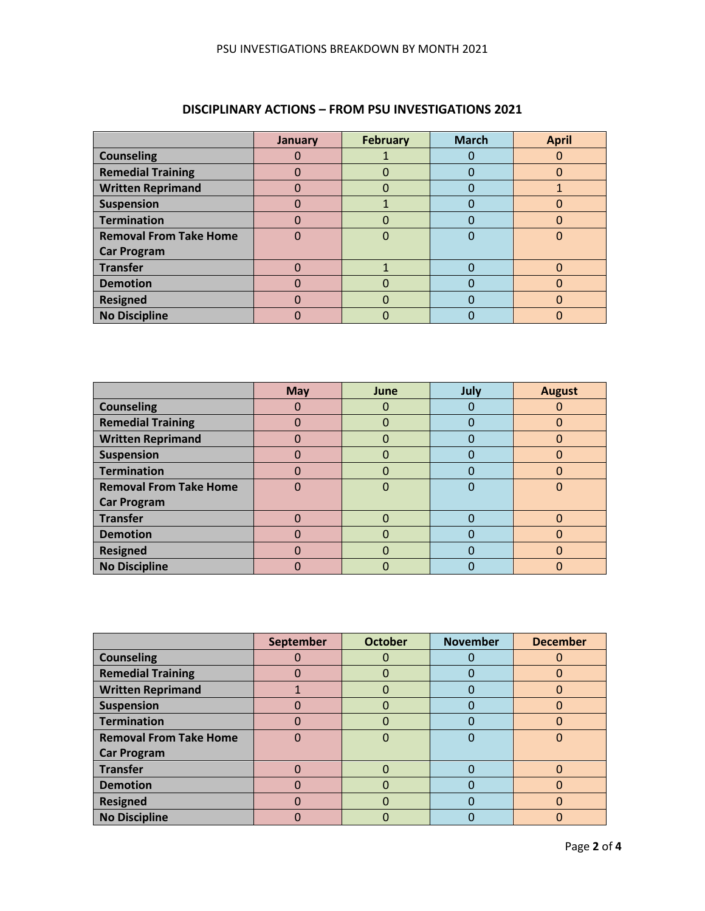|                               | January | <b>February</b> | <b>March</b> | <b>April</b> |
|-------------------------------|---------|-----------------|--------------|--------------|
| <b>Counseling</b>             |         |                 |              |              |
| <b>Remedial Training</b>      |         |                 |              | ი            |
| <b>Written Reprimand</b>      |         | 0               |              |              |
| <b>Suspension</b>             |         |                 |              |              |
| <b>Termination</b>            |         |                 |              |              |
| <b>Removal From Take Home</b> |         |                 |              |              |
| <b>Car Program</b>            |         |                 |              |              |
| <b>Transfer</b>               |         |                 |              |              |
| <b>Demotion</b>               |         |                 |              |              |
| <b>Resigned</b>               |         | ŋ               |              | ŋ            |
| <b>No Discipline</b>          |         |                 |              |              |

## **DISCIPLINARY ACTIONS – FROM PSU INVESTIGATIONS 2021**

|                               | <b>May</b> | June | July | <b>August</b> |
|-------------------------------|------------|------|------|---------------|
| <b>Counseling</b>             |            | O    |      |               |
| <b>Remedial Training</b>      |            | O    |      |               |
| <b>Written Reprimand</b>      |            | O    |      | 0             |
| <b>Suspension</b>             | ი          | 0    |      | 0             |
| <b>Termination</b>            | 0          | 0    |      | 0             |
| <b>Removal From Take Home</b> | 0          | 0    |      | 0             |
| <b>Car Program</b>            |            |      |      |               |
| <b>Transfer</b>               |            | 0    |      | ი             |
| <b>Demotion</b>               |            | 0    |      |               |
| <b>Resigned</b>               | 0          | O    |      | 0             |
| <b>No Discipline</b>          |            |      |      | Ω             |

|                               | September | <b>October</b> | <b>November</b> | <b>December</b> |
|-------------------------------|-----------|----------------|-----------------|-----------------|
| <b>Counseling</b>             |           |                |                 |                 |
| <b>Remedial Training</b>      | N         | 0              |                 | 0               |
| <b>Written Reprimand</b>      |           | 0              |                 | 0               |
| <b>Suspension</b>             |           | 0              |                 | 0               |
| <b>Termination</b>            |           |                |                 |                 |
| <b>Removal From Take Home</b> |           |                |                 |                 |
| <b>Car Program</b>            |           |                |                 |                 |
| <b>Transfer</b>               |           |                |                 |                 |
| <b>Demotion</b>               |           |                |                 |                 |
| <b>Resigned</b>               | Ω         |                |                 | O               |
| <b>No Discipline</b>          |           |                |                 |                 |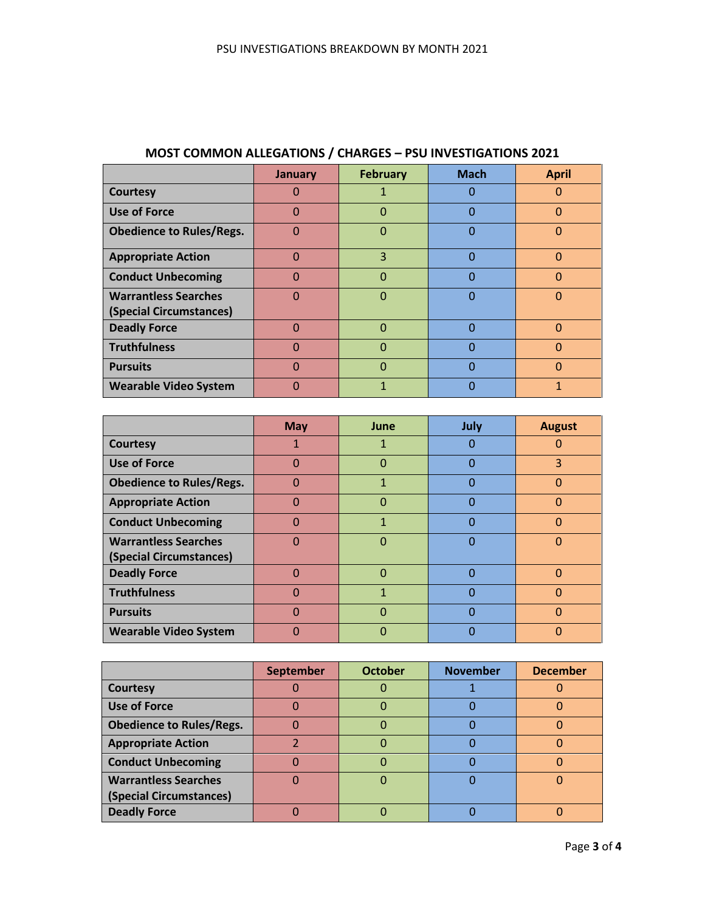|                                 | January  | <b>February</b> | <b>Mach</b> | <b>April</b> |
|---------------------------------|----------|-----------------|-------------|--------------|
| <b>Courtesy</b>                 |          |                 | O           | 0            |
| <b>Use of Force</b>             | 0        | 0               | 0           | 0            |
| <b>Obedience to Rules/Regs.</b> | 0        | 0               | O           | $\Omega$     |
| <b>Appropriate Action</b>       | O        | 3               | 0           | $\Omega$     |
| <b>Conduct Unbecoming</b>       | $\Omega$ | 0               | $\Omega$    | $\Omega$     |
| <b>Warrantless Searches</b>     | ∩        | 0               | O           | $\Omega$     |
| (Special Circumstances)         |          |                 |             |              |
| <b>Deadly Force</b>             | 0        | ი               | 0           | $\Omega$     |
| <b>Truthfulness</b>             | O        | O               | N           | O            |
| <b>Pursuits</b>                 | 0        | ი               | ი           | $\Omega$     |
| <b>Wearable Video System</b>    |          |                 | O           |              |

# **MOST COMMON ALLEGATIONS / CHARGES – PSU INVESTIGATIONS 2021**

|                                 | <b>May</b> | June | July         | <b>August</b> |
|---------------------------------|------------|------|--------------|---------------|
| <b>Courtesy</b>                 | 1          | 1    | O            | 0             |
| Use of Force                    | $\Omega$   | 0    | $\Omega$     | 3             |
| <b>Obedience to Rules/Regs.</b> | $\Omega$   |      | $\Omega$     | 0             |
| <b>Appropriate Action</b>       | $\Omega$   | 0    | Ω            | 0             |
| <b>Conduct Unbecoming</b>       | $\Omega$   |      | <sup>0</sup> | $\Omega$      |
| <b>Warrantless Searches</b>     | $\Omega$   | O    | $\Omega$     | $\Omega$      |
| (Special Circumstances)         |            |      |              |               |
| <b>Deadly Force</b>             | $\Omega$   | ი    | 0            | $\Omega$      |
| <b>Truthfulness</b>             | $\Omega$   | 1    | $\Omega$     | $\Omega$      |
| <b>Pursuits</b>                 | $\Omega$   | O    | O            | $\Omega$      |
| <b>Wearable Video System</b>    | O          |      |              | O             |

|                                 | <b>September</b> | <b>October</b> | <b>November</b> | <b>December</b> |
|---------------------------------|------------------|----------------|-----------------|-----------------|
| Courtesy                        |                  |                |                 |                 |
| <b>Use of Force</b>             |                  |                |                 |                 |
| <b>Obedience to Rules/Regs.</b> |                  |                |                 |                 |
| <b>Appropriate Action</b>       |                  |                |                 |                 |
| <b>Conduct Unbecoming</b>       |                  |                |                 |                 |
| <b>Warrantless Searches</b>     |                  |                |                 |                 |
| (Special Circumstances)         |                  |                |                 |                 |
| <b>Deadly Force</b>             |                  |                |                 |                 |